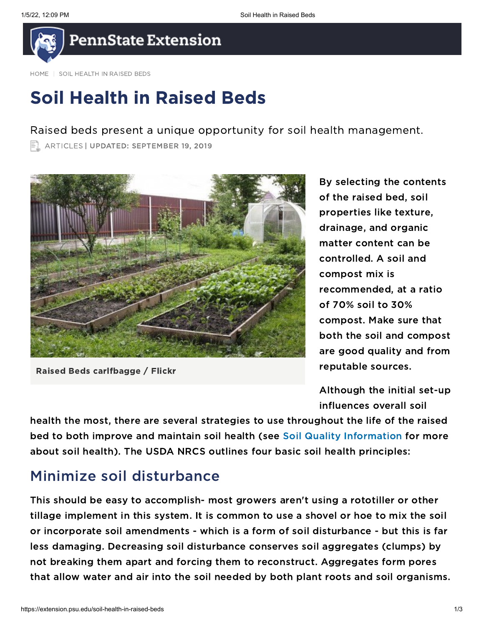

[HOME](https://extension.psu.edu/) | SOIL HEALTH IN RAISED BEDS

# Soil Health in Raised Beds

Raised beds present a unique opportunity for soil health management.

**EL ARTICLES | UPDATED: SEPTEMBER 19, 2019** 



Raised Beds carlfbagge / Flickr

By selecting the contents of the raised bed, soil properties like texture, drainage, and organic matter content can be controlled. A soil and compost mix is recommended, at a ratio of 70% soil to 30% compost. Make sure that both the soil and compost are good quality and from reputable sources.

Although the initial set-up influences overall soil

health the most, there are several strategies to use throughout the life of the raised bed to both improve and maintain soil health (see Soil Quality [Information](https://extension.psu.edu/soil-quality-information) for more about soil health). The USDA NRCS outlines four basic soil health principles:

## Minimize soil disturbance

This should be easy to accomplish- most growers aren't using a rototiller or other tillage implement in this system. It is common to use a shovel or hoe to mix the soil or incorporate soil amendments - which is a form of soil disturbance - but this is far less damaging. Decreasing soil disturbance conserves soil aggregates (clumps) by not breaking them apart and forcing them to reconstruct. Aggregates form pores that allow water and air into the soil needed by both plant roots and soil organisms.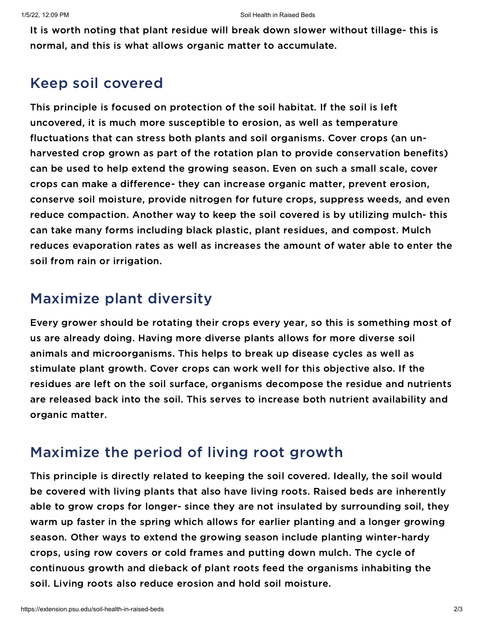It is worth noting that plant residue will break down slower without tillage- this is normal, and this is what allows organic matter to accumulate.

# Keep soil covered

This principle is focused on protection of the soil habitat. If the soil is left uncovered, it is much more susceptible to erosion, as well as temperature fluctuations that can stress both plants and soil organisms. Cover crops (an unharvested crop grown as part of the rotation plan to provide conservation benefits) can be used to help extend the growing season. Even on such a small scale, cover crops can make a difference- they can increase organic matter, prevent erosion, conserve soil moisture, provide nitrogen for future crops, suppress weeds, and even reduce compaction. Another way to keep the soil covered is by utilizing mulch- this can take many forms including black plastic, plant residues, and compost. Mulch reduces evaporation rates as well as increases the amount of water able to enter the soil from rain or irrigation.

# Maximize plant diversity

Every grower should be rotating their crops every year, so this is something most of us are already doing. Having more diverse plants allows for more diverse soil animals and microorganisms. This helps to break up disease cycles as well as stimulate plant growth. Cover crops can work well for this objective also. If the residues are left on the soil surface, organisms decompose the residue and nutrients are released back into the soil. This serves to increase both nutrient availability and organic matter.

## Maximize the period of living root growth

This principle is directly related to keeping the soil covered. Ideally, the soil would be covered with living plants that also have living roots. Raised beds are inherently able to grow crops for longer- since they are not insulated by surrounding soil, they warm up faster in the spring which allows for earlier planting and a longer growing season. Other ways to extend the growing season include planting winter-hardy crops, using row covers or cold frames and putting down mulch. The cycle of continuous growth and dieback of plant roots feed the organisms inhabiting the soil. Living roots also reduce erosion and hold soil moisture.